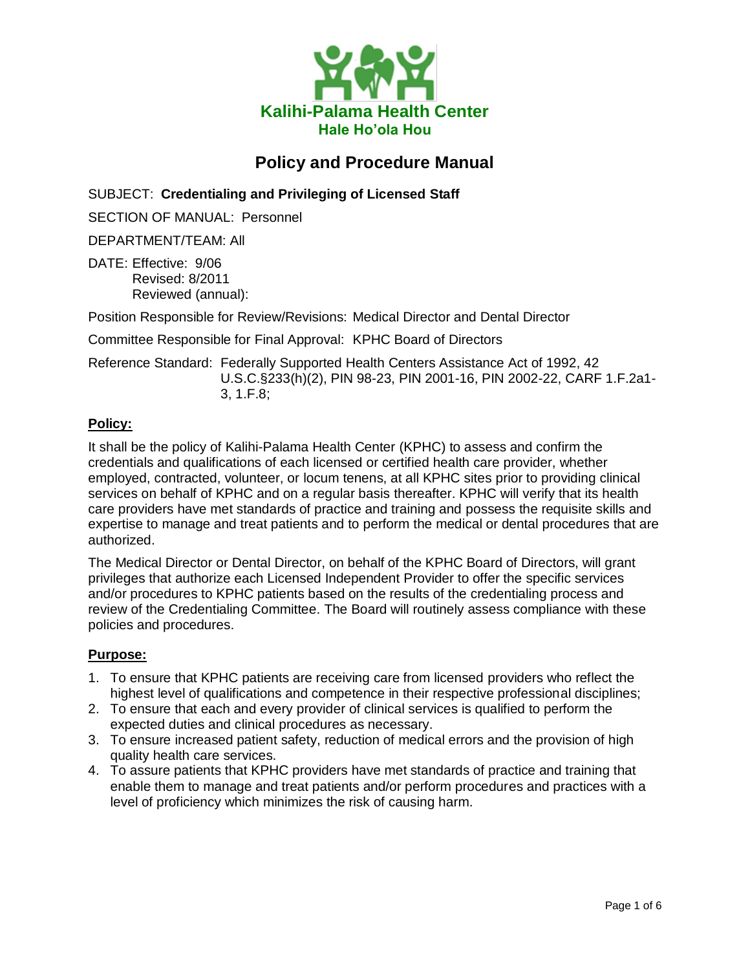

# **Policy and Procedure Manual**

SUBJECT: **Credentialing and Privileging of Licensed Staff**

SECTION OF MANUAL: Personnel

DEPARTMENT/TEAM: All

DATE: Effective: 9/06 Revised: 8/2011 Reviewed (annual):

Position Responsible for Review/Revisions: Medical Director and Dental Director

Committee Responsible for Final Approval: KPHC Board of Directors

Reference Standard: Federally Supported Health Centers Assistance Act of 1992, 42 U.S.C.§233(h)(2), PIN 98-23, PIN 2001-16, PIN 2002-22, CARF 1.F.2a1- 3, 1.F.8;

#### **Policy:**

It shall be the policy of Kalihi-Palama Health Center (KPHC) to assess and confirm the credentials and qualifications of each licensed or certified health care provider, whether employed, contracted, volunteer, or locum tenens, at all KPHC sites prior to providing clinical services on behalf of KPHC and on a regular basis thereafter. KPHC will verify that its health care providers have met standards of practice and training and possess the requisite skills and expertise to manage and treat patients and to perform the medical or dental procedures that are authorized.

The Medical Director or Dental Director, on behalf of the KPHC Board of Directors, will grant privileges that authorize each Licensed Independent Provider to offer the specific services and/or procedures to KPHC patients based on the results of the credentialing process and review of the Credentialing Committee. The Board will routinely assess compliance with these policies and procedures.

#### **Purpose:**

- 1. To ensure that KPHC patients are receiving care from licensed providers who reflect the highest level of qualifications and competence in their respective professional disciplines;
- 2. To ensure that each and every provider of clinical services is qualified to perform the expected duties and clinical procedures as necessary.
- 3. To ensure increased patient safety, reduction of medical errors and the provision of high quality health care services.
- 4. To assure patients that KPHC providers have met standards of practice and training that enable them to manage and treat patients and/or perform procedures and practices with a level of proficiency which minimizes the risk of causing harm.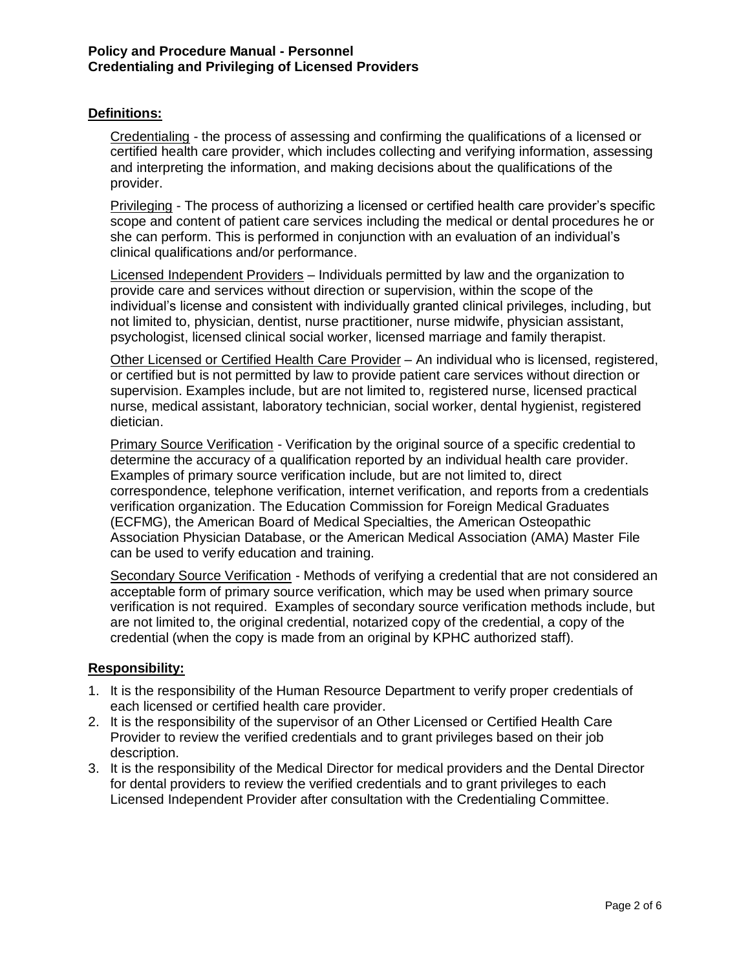#### **Definitions:**

Credentialing - the process of assessing and confirming the qualifications of a licensed or certified health care provider, which includes collecting and verifying information, assessing and interpreting the information, and making decisions about the qualifications of the provider.

Privileging - The process of authorizing a licensed or certified health care provider's specific scope and content of patient care services including the medical or dental procedures he or she can perform. This is performed in conjunction with an evaluation of an individual's clinical qualifications and/or performance.

Licensed Independent Providers – Individuals permitted by law and the organization to provide care and services without direction or supervision, within the scope of the individual's license and consistent with individually granted clinical privileges, including, but not limited to, physician, dentist, nurse practitioner, nurse midwife, physician assistant, psychologist, licensed clinical social worker, licensed marriage and family therapist.

Other Licensed or Certified Health Care Provider – An individual who is licensed, registered, or certified but is not permitted by law to provide patient care services without direction or supervision. Examples include, but are not limited to, registered nurse, licensed practical nurse, medical assistant, laboratory technician, social worker, dental hygienist, registered dietician.

Primary Source Verification - Verification by the original source of a specific credential to determine the accuracy of a qualification reported by an individual health care provider. Examples of primary source verification include, but are not limited to, direct correspondence, telephone verification, internet verification, and reports from a credentials verification organization. The Education Commission for Foreign Medical Graduates (ECFMG), the American Board of Medical Specialties, the American Osteopathic Association Physician Database, or the American Medical Association (AMA) Master File can be used to verify education and training.

Secondary Source Verification - Methods of verifying a credential that are not considered an acceptable form of primary source verification, which may be used when primary source verification is not required. Examples of secondary source verification methods include, but are not limited to, the original credential, notarized copy of the credential, a copy of the credential (when the copy is made from an original by KPHC authorized staff).

#### **Responsibility:**

- 1. It is the responsibility of the Human Resource Department to verify proper credentials of each licensed or certified health care provider.
- 2. It is the responsibility of the supervisor of an Other Licensed or Certified Health Care Provider to review the verified credentials and to grant privileges based on their job description.
- 3. It is the responsibility of the Medical Director for medical providers and the Dental Director for dental providers to review the verified credentials and to grant privileges to each Licensed Independent Provider after consultation with the Credentialing Committee.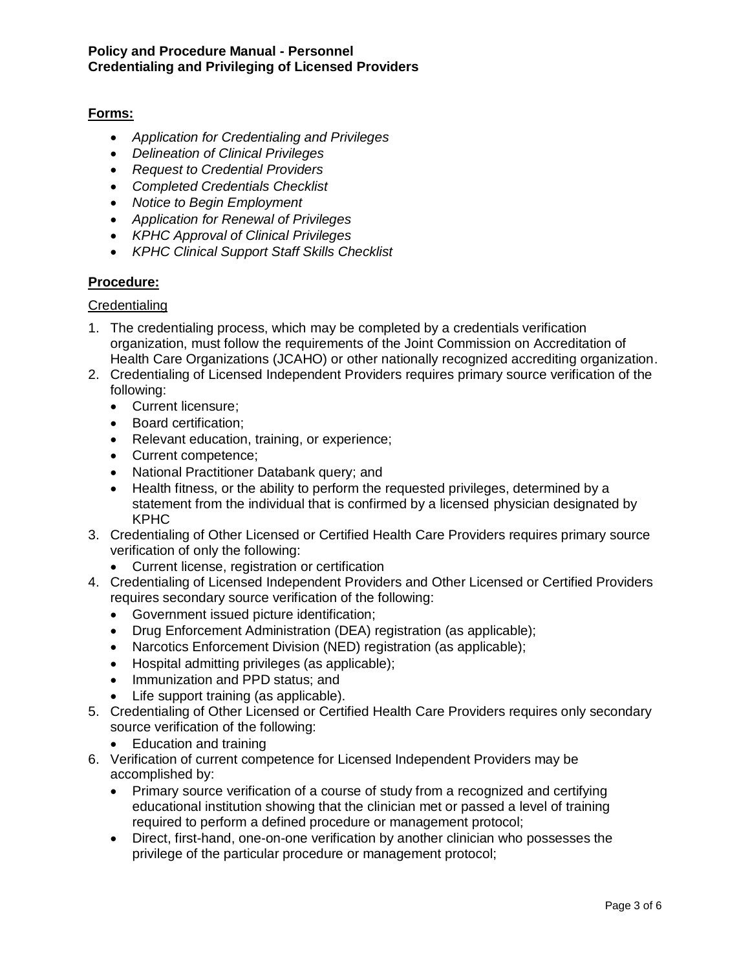# **Forms:**

- *Application for Credentialing and Privileges*
- *Delineation of Clinical Privileges*
- *Request to Credential Providers*
- *Completed Credentials Checklist*
- *Notice to Begin Employment*
- *Application for Renewal of Privileges*
- *KPHC Approval of Clinical Privileges*
- *KPHC Clinical Support Staff Skills Checklist*

# **Procedure:**

# **Credentialing**

- 1. The credentialing process, which may be completed by a credentials verification organization, must follow the requirements of the Joint Commission on Accreditation of Health Care Organizations (JCAHO) or other nationally recognized accrediting organization.
- 2. Credentialing of Licensed Independent Providers requires primary source verification of the following:
	- Current licensure:
	- Board certification:
	- Relevant education, training, or experience;
	- Current competence;
	- National Practitioner Databank query; and
	- Health fitness, or the ability to perform the requested privileges, determined by a statement from the individual that is confirmed by a licensed physician designated by KPHC
- 3. Credentialing of Other Licensed or Certified Health Care Providers requires primary source verification of only the following:
	- Current license, registration or certification
- 4. Credentialing of Licensed Independent Providers and Other Licensed or Certified Providers requires secondary source verification of the following:
	- Government issued picture identification;
	- Drug Enforcement Administration (DEA) registration (as applicable);
	- Narcotics Enforcement Division (NED) registration (as applicable);
	- Hospital admitting privileges (as applicable);
	- Immunization and PPD status; and
	- Life support training (as applicable).
- 5. Credentialing of Other Licensed or Certified Health Care Providers requires only secondary source verification of the following:
	- Education and training
- 6. Verification of current competence for Licensed Independent Providers may be accomplished by:
	- Primary source verification of a course of study from a recognized and certifying educational institution showing that the clinician met or passed a level of training required to perform a defined procedure or management protocol;
	- Direct, first-hand, one-on-one verification by another clinician who possesses the privilege of the particular procedure or management protocol;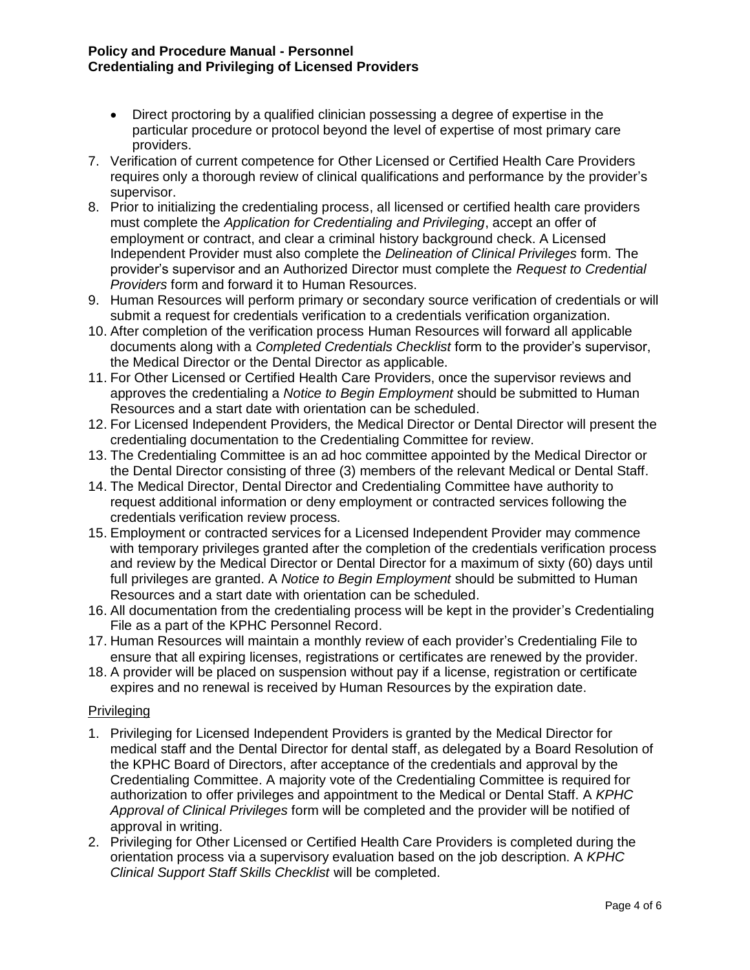#### **Policy and Procedure Manual - Personnel Credentialing and Privileging of Licensed Providers**

- Direct proctoring by a qualified clinician possessing a degree of expertise in the particular procedure or protocol beyond the level of expertise of most primary care providers.
- 7. Verification of current competence for Other Licensed or Certified Health Care Providers requires only a thorough review of clinical qualifications and performance by the provider's supervisor.
- 8. Prior to initializing the credentialing process, all licensed or certified health care providers must complete the *Application for Credentialing and Privileging*, accept an offer of employment or contract, and clear a criminal history background check. A Licensed Independent Provider must also complete the *Delineation of Clinical Privileges* form. The provider's supervisor and an Authorized Director must complete the *Request to Credential Providers* form and forward it to Human Resources.
- 9. Human Resources will perform primary or secondary source verification of credentials or will submit a request for credentials verification to a credentials verification organization.
- 10. After completion of the verification process Human Resources will forward all applicable documents along with a *Completed Credentials Checklist* form to the provider's supervisor, the Medical Director or the Dental Director as applicable.
- 11. For Other Licensed or Certified Health Care Providers, once the supervisor reviews and approves the credentialing a *Notice to Begin Employment* should be submitted to Human Resources and a start date with orientation can be scheduled.
- 12. For Licensed Independent Providers, the Medical Director or Dental Director will present the credentialing documentation to the Credentialing Committee for review.
- 13. The Credentialing Committee is an ad hoc committee appointed by the Medical Director or the Dental Director consisting of three (3) members of the relevant Medical or Dental Staff.
- 14. The Medical Director, Dental Director and Credentialing Committee have authority to request additional information or deny employment or contracted services following the credentials verification review process.
- 15. Employment or contracted services for a Licensed Independent Provider may commence with temporary privileges granted after the completion of the credentials verification process and review by the Medical Director or Dental Director for a maximum of sixty (60) days until full privileges are granted. A *Notice to Begin Employment* should be submitted to Human Resources and a start date with orientation can be scheduled.
- 16. All documentation from the credentialing process will be kept in the provider's Credentialing File as a part of the KPHC Personnel Record.
- 17. Human Resources will maintain a monthly review of each provider's Credentialing File to ensure that all expiring licenses, registrations or certificates are renewed by the provider.
- 18. A provider will be placed on suspension without pay if a license, registration or certificate expires and no renewal is received by Human Resources by the expiration date.

# **Privileging**

- 1. Privileging for Licensed Independent Providers is granted by the Medical Director for medical staff and the Dental Director for dental staff, as delegated by a Board Resolution of the KPHC Board of Directors, after acceptance of the credentials and approval by the Credentialing Committee. A majority vote of the Credentialing Committee is required for authorization to offer privileges and appointment to the Medical or Dental Staff. A *KPHC Approval of Clinical Privileges* form will be completed and the provider will be notified of approval in writing.
- 2. Privileging for Other Licensed or Certified Health Care Providers is completed during the orientation process via a supervisory evaluation based on the job description. A *KPHC Clinical Support Staff Skills Checklist* will be completed.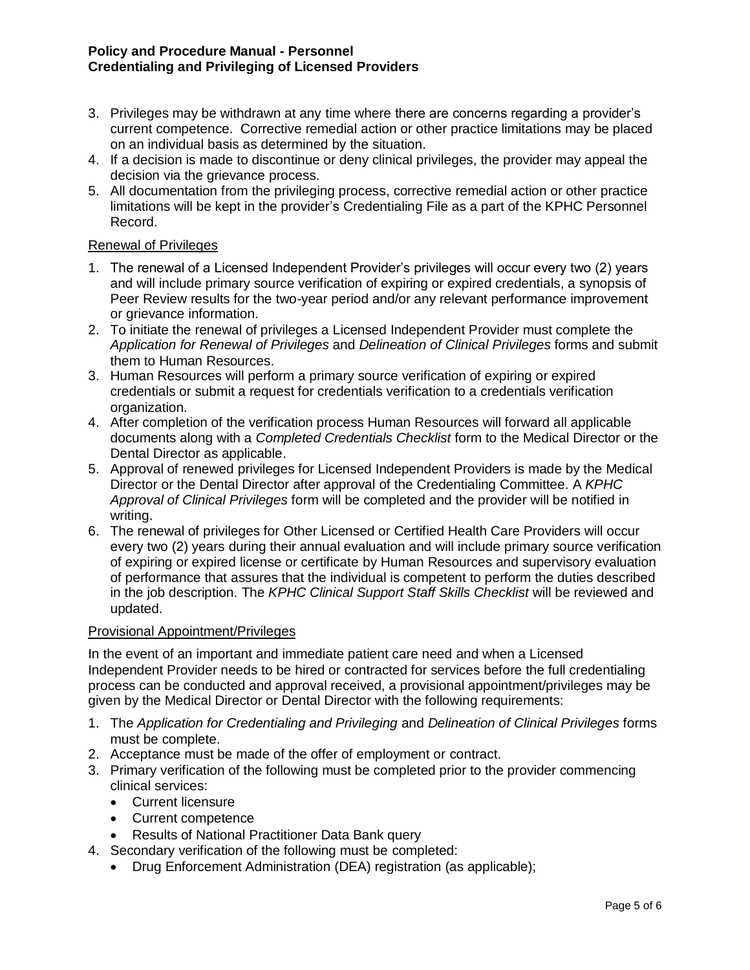#### **Policy and Procedure Manual - Personnel Credentialing and Privileging of Licensed Providers**

- 3. Privileges may be withdrawn at any time where there are concerns regarding a provider's current competence. Corrective remedial action or other practice limitations may be placed on an individual basis as determined by the situation.
- 4. If a decision is made to discontinue or deny clinical privileges, the provider may appeal the decision via the grievance process.
- 5. All documentation from the privileging process, corrective remedial action or other practice limitations will be kept in the provider's Credentialing File as a part of the KPHC Personnel Record.

#### Renewal of Privileges

- 1. The renewal of a Licensed Independent Provider's privileges will occur every two (2) years and will include primary source verification of expiring or expired credentials, a synopsis of Peer Review results for the two-year period and/or any relevant performance improvement or grievance information.
- 2. To initiate the renewal of privileges a Licensed Independent Provider must complete the *Application for Renewal of Privileges* and *Delineation of Clinical Privileges* forms and submit them to Human Resources.
- 3. Human Resources will perform a primary source verification of expiring or expired credentials or submit a request for credentials verification to a credentials verification organization.
- 4. After completion of the verification process Human Resources will forward all applicable documents along with a *Completed Credentials Checklist* form to the Medical Director or the Dental Director as applicable.
- 5. Approval of renewed privileges for Licensed Independent Providers is made by the Medical Director or the Dental Director after approval of the Credentialing Committee. A *KPHC Approval of Clinical Privileges* form will be completed and the provider will be notified in writing.
- 6. The renewal of privileges for Other Licensed or Certified Health Care Providers will occur every two (2) years during their annual evaluation and will include primary source verification of expiring or expired license or certificate by Human Resources and supervisory evaluation of performance that assures that the individual is competent to perform the duties described in the job description. The *KPHC Clinical Support Staff Skills Checklist* will be reviewed and updated.

# Provisional Appointment/Privileges

In the event of an important and immediate patient care need and when a Licensed Independent Provider needs to be hired or contracted for services before the full credentialing process can be conducted and approval received, a provisional appointment/privileges may be given by the Medical Director or Dental Director with the following requirements:

- 1. The *Application for Credentialing and Privileging* and *Delineation of Clinical Privileges* forms must be complete.
- 2. Acceptance must be made of the offer of employment or contract.
- 3. Primary verification of the following must be completed prior to the provider commencing clinical services:
	- Current licensure
	- Current competence
	- Results of National Practitioner Data Bank query
- 4. Secondary verification of the following must be completed:
	- Drug Enforcement Administration (DEA) registration (as applicable);